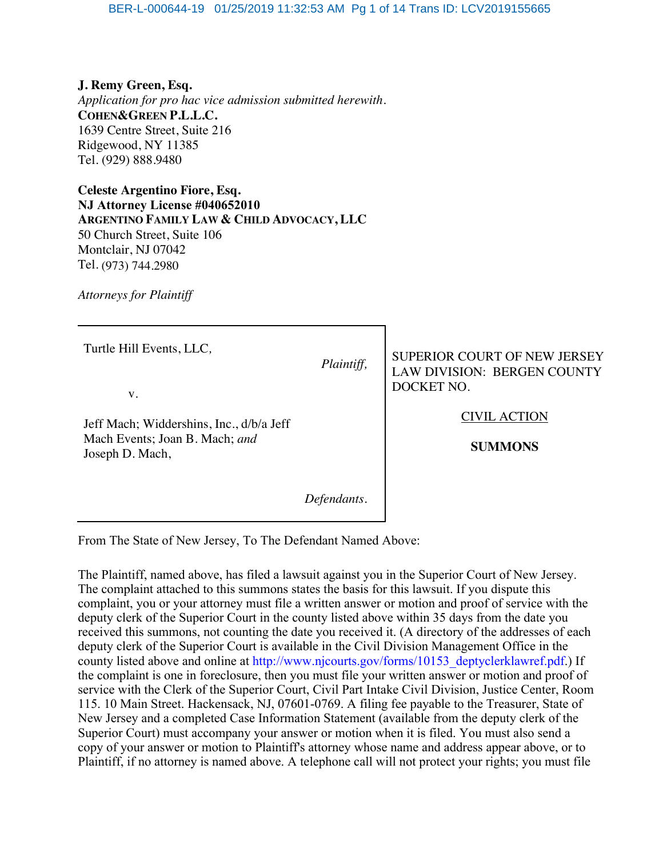**J. Remy Green, Esq.**  *Application for pro hac vice admission submitted herewith.* **COHEN&GREEN P.L.L.C.** 1639 Centre Street, Suite 216 Ridgewood, NY 11385 Tel. (929) 888.9480

**Celeste Argentino Fiore, Esq. NJ Attorney License #040652010 ARGENTINO FAMILY LAW & CHILD ADVOCACY, LLC** 50 Church Street, Suite 106 Montclair, NJ 07042 Tel. (973) 744.2980

*Attorneys for Plaintiff* 

| Turtle Hill Events, LLC,<br>V.                                                                | Plaintiff, | <b>SUPERIOR COURT OF NEW JERSEY</b><br><b>LAW DIVISION: BERGEN COUNTY</b><br>DOCKET NO. |
|-----------------------------------------------------------------------------------------------|------------|-----------------------------------------------------------------------------------------|
| Jeff Mach; Widdershins, Inc., d/b/a Jeff<br>Mach Events; Joan B. Mach; and<br>Joseph D. Mach, |            | <b>CIVIL ACTION</b><br><b>SUMMONS</b>                                                   |
|                                                                                               |            |                                                                                         |

From The State of New Jersey, To The Defendant Named Above:

The Plaintiff, named above, has filed a lawsuit against you in the Superior Court of New Jersey. The complaint attached to this summons states the basis for this lawsuit. If you dispute this complaint, you or your attorney must file a written answer or motion and proof of service with the deputy clerk of the Superior Court in the county listed above within 35 days from the date you received this summons, not counting the date you received it. (A directory of the addresses of each deputy clerk of the Superior Court is available in the Civil Division Management Office in the county listed above and online at http://www.njcourts.gov/forms/10153\_deptyclerklawref.pdf.) If the complaint is one in foreclosure, then you must file your written answer or motion and proof of service with the Clerk of the Superior Court, Civil Part Intake Civil Division, Justice Center, Room 115. 10 Main Street. Hackensack, NJ, 07601-0769. A filing fee payable to the Treasurer, State of New Jersey and a completed Case Information Statement (available from the deputy clerk of the Superior Court) must accompany your answer or motion when it is filed. You must also send a copy of your answer or motion to Plaintiff's attorney whose name and address appear above, or to Plaintiff, if no attorney is named above. A telephone call will not protect your rights; you must file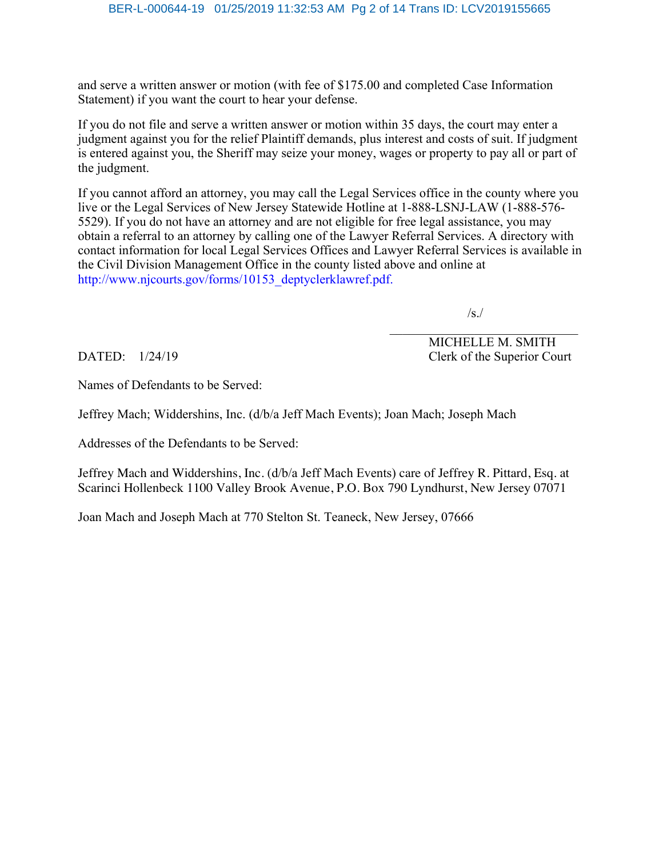and serve a written answer or motion (with fee of \$175.00 and completed Case Information Statement) if you want the court to hear your defense.

If you do not file and serve a written answer or motion within 35 days, the court may enter a judgment against you for the relief Plaintiff demands, plus interest and costs of suit. If judgment is entered against you, the Sheriff may seize your money, wages or property to pay all or part of the judgment.

If you cannot afford an attorney, you may call the Legal Services office in the county where you live or the Legal Services of New Jersey Statewide Hotline at 1-888-LSNJ-LAW (1-888-576- 5529). If you do not have an attorney and are not eligible for free legal assistance, you may obtain a referral to an attorney by calling one of the Lawyer Referral Services. A directory with contact information for local Legal Services Offices and Lawyer Referral Services is available in the Civil Division Management Office in the county listed above and online at http://www.njcourts.gov/forms/10153\_deptyclerklawref.pdf.

/s./

 MICHELLE M. SMITH DATED:  $1/24/19$  Clerk of the Superior Court

Names of Defendants to be Served:

Jeffrey Mach; Widdershins, Inc. (d/b/a Jeff Mach Events); Joan Mach; Joseph Mach

Addresses of the Defendants to be Served:

Jeffrey Mach and Widdershins, Inc. (d/b/a Jeff Mach Events) care of Jeffrey R. Pittard, Esq. at Scarinci Hollenbeck 1100 Valley Brook Avenue, P.O. Box 790 Lyndhurst, New Jersey 07071

Joan Mach and Joseph Mach at 770 Stelton St. Teaneck, New Jersey, 07666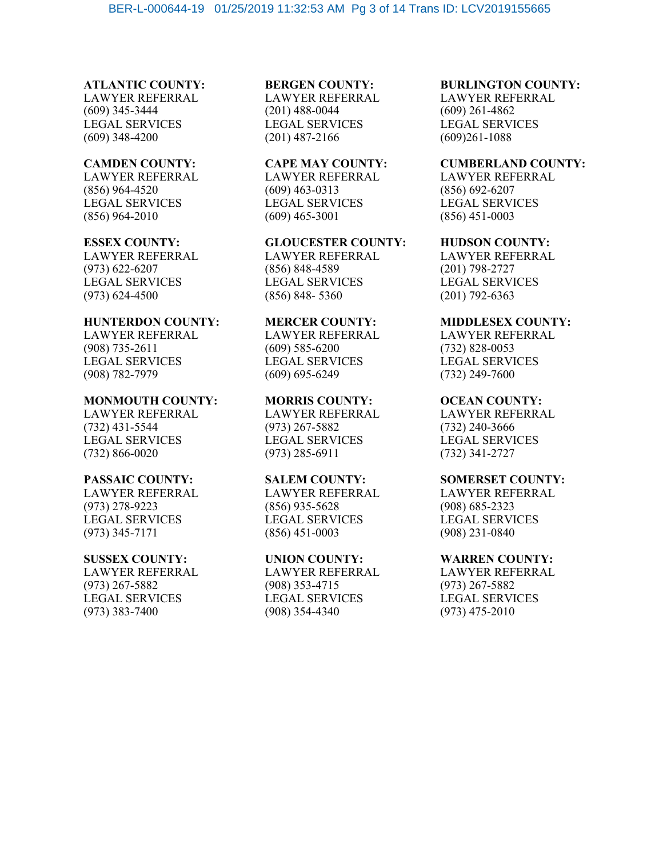# **ATLANTIC COUNTY:**

LAWYER REFERRAL (609) 345-3444 LEGAL SERVICES (609) 348-4200

#### **CAMDEN COUNTY:**

LAWYER REFERRAL (856) 964-4520 LEGAL SERVICES (856) 964-2010

#### **ESSEX COUNTY:**

LAWYER REFERRAL (973) 622-6207 LEGAL SERVICES (973) 624-4500

### **HUNTERDON COUNTY:**

LAWYER REFERRAL (908) 735-2611 LEGAL SERVICES (908) 782-7979

#### **MONMOUTH COUNTY:**

LAWYER REFERRAL (732) 431-5544 LEGAL SERVICES (732) 866-0020

#### **PASSAIC COUNTY:**

LAWYER REFERRAL (973) 278-9223 LEGAL SERVICES (973) 345-7171

#### **SUSSEX COUNTY:**

LAWYER REFERRAL (973) 267-5882 LEGAL SERVICES (973) 383-7400

# **BERGEN COUNTY:**

LAWYER REFERRAL (201) 488-0044 LEGAL SERVICES (201) 487-2166

## **CAPE MAY COUNTY:** LAWYER REFERRAL (609) 463-0313

LEGAL SERVICES (609) 465-3001

#### **GLOUCESTER COUNTY:**

LAWYER REFERRAL (856) 848-4589 LEGAL SERVICES (856) 848- 5360

### **MERCER COUNTY:**

LAWYER REFERRAL (609) 585-6200 LEGAL SERVICES (609) 695-6249

#### **MORRIS COUNTY:**

LAWYER REFERRAL (973) 267-5882 LEGAL SERVICES (973) 285-6911

#### **SALEM COUNTY:**

LAWYER REFERRAL (856) 935-5628 LEGAL SERVICES (856) 451-0003

### **UNION COUNTY:**

LAWYER REFERRAL (908) 353-4715 LEGAL SERVICES (908) 354-4340

#### **BURLINGTON COUNTY:**

LAWYER REFERRAL (609) 261-4862 LEGAL SERVICES (609)261-1088

#### **CUMBERLAND COUNTY:**

LAWYER REFERRAL (856) 692-6207 LEGAL SERVICES (856) 451-0003

#### **HUDSON COUNTY:**

LAWYER REFERRAL (201) 798-2727 LEGAL SERVICES (201) 792-6363

#### **MIDDLESEX COUNTY:**

LAWYER REFERRAL (732) 828-0053 LEGAL SERVICES (732) 249-7600

#### **OCEAN COUNTY:**

LAWYER REFERRAL (732) 240-3666 LEGAL SERVICES (732) 341-2727

#### **SOMERSET COUNTY:**

LAWYER REFERRAL (908) 685-2323 LEGAL SERVICES (908) 231-0840

#### **WARREN COUNTY:**

LAWYER REFERRAL (973) 267-5882 LEGAL SERVICES (973) 475-2010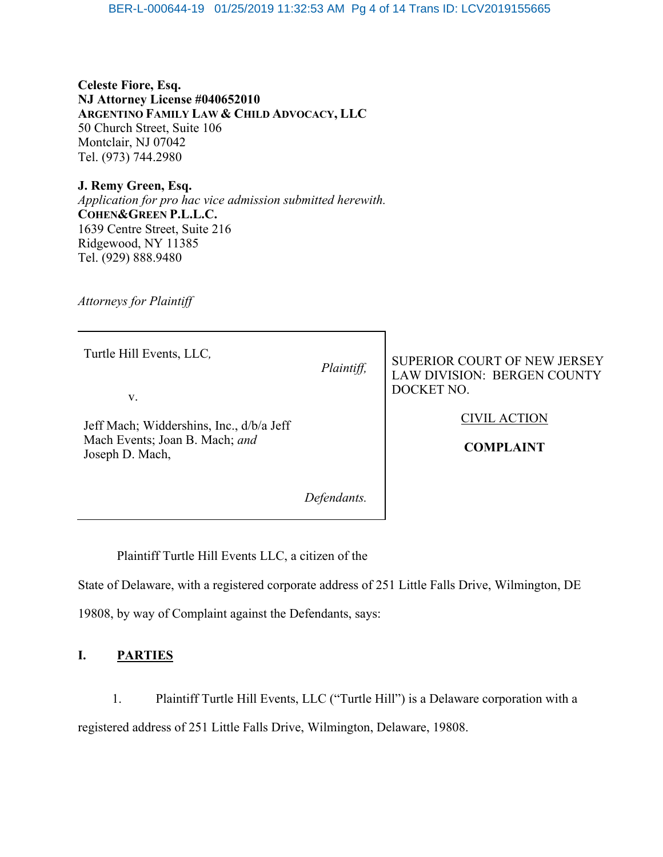**Celeste Fiore, Esq. NJ Attorney License #040652010 ARGENTINO FAMILY LAW & CHILD ADVOCACY, LLC** 50 Church Street, Suite 106 Montclair, NJ 07042 Tel. (973) 744.2980

**J. Remy Green, Esq.**  *Application for pro hac vice admission submitted herewith.* **COHEN&GREEN P.L.L.C.** 1639 Centre Street, Suite 216 Ridgewood, NY 11385 Tel. (929) 888.9480

*Attorneys for Plaintiff* 

| Turtle Hill Events, LLC,<br>V.                                                                | Plaintiff, | <b>SUPERIOR COURT OF NEW JERSEY</b><br>LAW DIVISION: BERGEN COUNTY<br>DOCKET NO. |
|-----------------------------------------------------------------------------------------------|------------|----------------------------------------------------------------------------------|
| Jeff Mach; Widdershins, Inc., d/b/a Jeff<br>Mach Events; Joan B. Mach; and<br>Joseph D. Mach, |            | <b>CIVIL ACTION</b><br><b>COMPLAINT</b>                                          |
|                                                                                               |            |                                                                                  |

Plaintiff Turtle Hill Events LLC, a citizen of the

State of Delaware, with a registered corporate address of 251 Little Falls Drive, Wilmington, DE

19808, by way of Complaint against the Defendants, says:

# **I. PARTIES**

1. Plaintiff Turtle Hill Events, LLC ("Turtle Hill") is a Delaware corporation with a registered address of 251 Little Falls Drive, Wilmington, Delaware, 19808.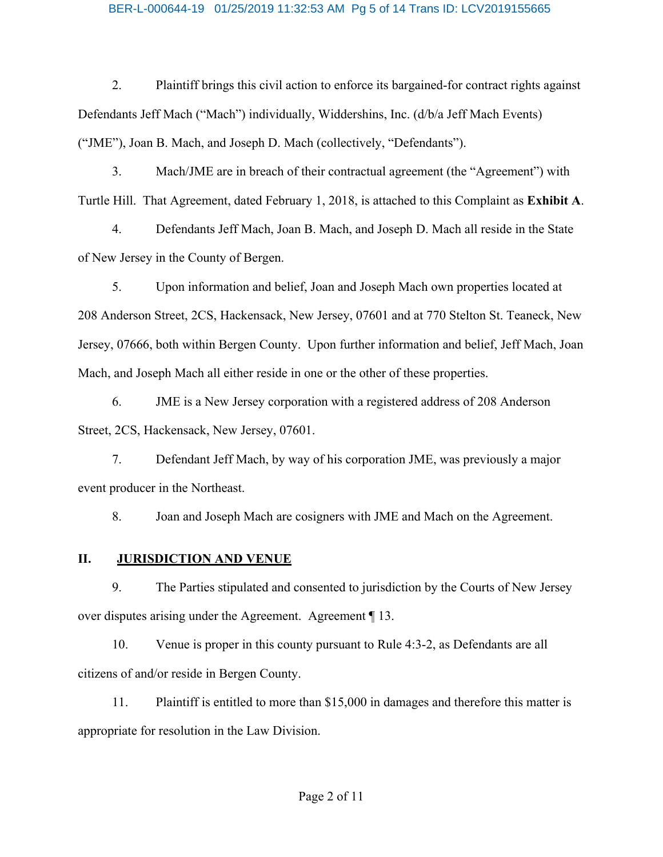#### BER-L-000644-19 01/25/2019 11:32:53 AM Pg 5 of 14 Trans ID: LCV2019155665

2. Plaintiff brings this civil action to enforce its bargained-for contract rights against Defendants Jeff Mach ("Mach") individually, Widdershins, Inc. (d/b/a Jeff Mach Events) ("JME"), Joan B. Mach, and Joseph D. Mach (collectively, "Defendants").

3. Mach/JME are in breach of their contractual agreement (the "Agreement") with Turtle Hill. That Agreement, dated February 1, 2018, is attached to this Complaint as **Exhibit A**.

4. Defendants Jeff Mach, Joan B. Mach, and Joseph D. Mach all reside in the State of New Jersey in the County of Bergen.

5. Upon information and belief, Joan and Joseph Mach own properties located at 208 Anderson Street, 2CS, Hackensack, New Jersey, 07601 and at 770 Stelton St. Teaneck, New Jersey, 07666, both within Bergen County. Upon further information and belief, Jeff Mach, Joan Mach, and Joseph Mach all either reside in one or the other of these properties.

6. JME is a New Jersey corporation with a registered address of 208 Anderson Street, 2CS, Hackensack, New Jersey, 07601.

7. Defendant Jeff Mach, by way of his corporation JME, was previously a major event producer in the Northeast.

8. Joan and Joseph Mach are cosigners with JME and Mach on the Agreement.

### **II. JURISDICTION AND VENUE**

9. The Parties stipulated and consented to jurisdiction by the Courts of New Jersey over disputes arising under the Agreement. Agreement ¶ 13.

10. Venue is proper in this county pursuant to Rule 4:3-2, as Defendants are all citizens of and/or reside in Bergen County.

11. Plaintiff is entitled to more than \$15,000 in damages and therefore this matter is appropriate for resolution in the Law Division.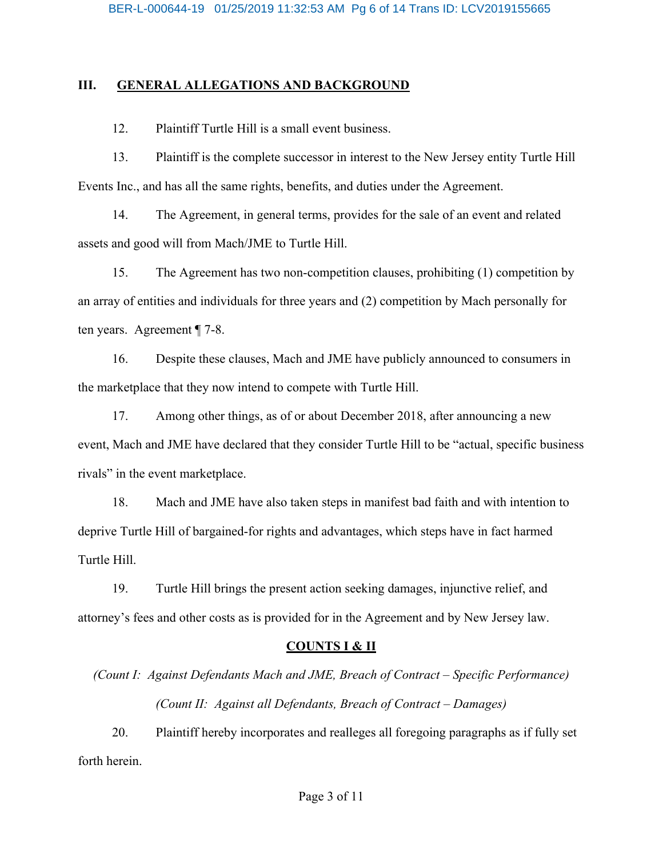### **III. GENERAL ALLEGATIONS AND BACKGROUND**

12. Plaintiff Turtle Hill is a small event business.

13. Plaintiff is the complete successor in interest to the New Jersey entity Turtle Hill Events Inc., and has all the same rights, benefits, and duties under the Agreement.

14. The Agreement, in general terms, provides for the sale of an event and related assets and good will from Mach/JME to Turtle Hill.

15. The Agreement has two non-competition clauses, prohibiting (1) competition by an array of entities and individuals for three years and (2) competition by Mach personally for ten years. Agreement ¶ 7-8.

16. Despite these clauses, Mach and JME have publicly announced to consumers in the marketplace that they now intend to compete with Turtle Hill.

17. Among other things, as of or about December 2018, after announcing a new event, Mach and JME have declared that they consider Turtle Hill to be "actual, specific business rivals" in the event marketplace.

18. Mach and JME have also taken steps in manifest bad faith and with intention to deprive Turtle Hill of bargained-for rights and advantages, which steps have in fact harmed Turtle Hill.

19. Turtle Hill brings the present action seeking damages, injunctive relief, and attorney's fees and other costs as is provided for in the Agreement and by New Jersey law.

### **COUNTS I & II**

*(Count I: Against Defendants Mach and JME, Breach of Contract – Specific Performance) (Count II: Against all Defendants, Breach of Contract – Damages)*

20. Plaintiff hereby incorporates and realleges all foregoing paragraphs as if fully set forth herein.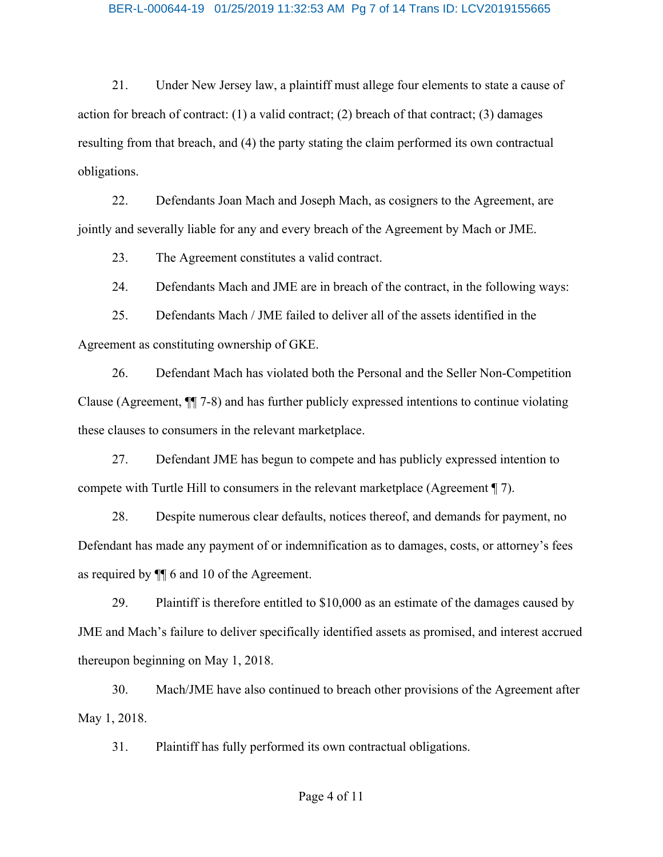#### BER-L-000644-19 01/25/2019 11:32:53 AM Pg 7 of 14 Trans ID: LCV2019155665

21. Under New Jersey law, a plaintiff must allege four elements to state a cause of action for breach of contract:  $(1)$  a valid contract;  $(2)$  breach of that contract;  $(3)$  damages resulting from that breach, and (4) the party stating the claim performed its own contractual obligations.

22. Defendants Joan Mach and Joseph Mach, as cosigners to the Agreement, are jointly and severally liable for any and every breach of the Agreement by Mach or JME.

23. The Agreement constitutes a valid contract.

24. Defendants Mach and JME are in breach of the contract, in the following ways:

25. Defendants Mach / JME failed to deliver all of the assets identified in the Agreement as constituting ownership of GKE.

26. Defendant Mach has violated both the Personal and the Seller Non-Competition Clause (Agreement, ¶¶ 7-8) and has further publicly expressed intentions to continue violating these clauses to consumers in the relevant marketplace.

27. Defendant JME has begun to compete and has publicly expressed intention to compete with Turtle Hill to consumers in the relevant marketplace (Agreement ¶ 7).

28. Despite numerous clear defaults, notices thereof, and demands for payment, no Defendant has made any payment of or indemnification as to damages, costs, or attorney's fees as required by ¶¶ 6 and 10 of the Agreement.

29. Plaintiff is therefore entitled to \$10,000 as an estimate of the damages caused by JME and Mach's failure to deliver specifically identified assets as promised, and interest accrued thereupon beginning on May 1, 2018.

30. Mach/JME have also continued to breach other provisions of the Agreement after May 1, 2018.

31. Plaintiff has fully performed its own contractual obligations.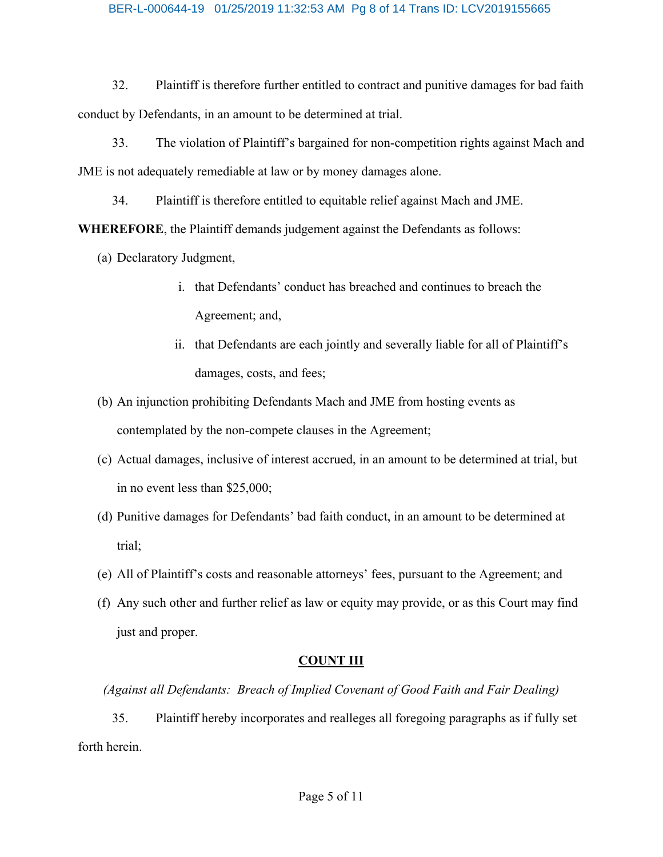#### BER-L-000644-19 01/25/2019 11:32:53 AM Pg 8 of 14 Trans ID: LCV2019155665

32. Plaintiff is therefore further entitled to contract and punitive damages for bad faith conduct by Defendants, in an amount to be determined at trial.

33. The violation of Plaintiff's bargained for non-competition rights against Mach and JME is not adequately remediable at law or by money damages alone.

34. Plaintiff is therefore entitled to equitable relief against Mach and JME.

**WHEREFORE**, the Plaintiff demands judgement against the Defendants as follows:

- (a) Declaratory Judgment,
	- i. that Defendants' conduct has breached and continues to breach the Agreement; and,
	- ii. that Defendants are each jointly and severally liable for all of Plaintiff's damages, costs, and fees;
- (b) An injunction prohibiting Defendants Mach and JME from hosting events as contemplated by the non-compete clauses in the Agreement;
- (c) Actual damages, inclusive of interest accrued, in an amount to be determined at trial, but in no event less than \$25,000;
- (d) Punitive damages for Defendants' bad faith conduct, in an amount to be determined at trial;
- (e) All of Plaintiff's costs and reasonable attorneys' fees, pursuant to the Agreement; and
- (f) Any such other and further relief as law or equity may provide, or as this Court may find just and proper.

# **COUNT III**

*(Against all Defendants: Breach of Implied Covenant of Good Faith and Fair Dealing)*

35. Plaintiff hereby incorporates and realleges all foregoing paragraphs as if fully set forth herein.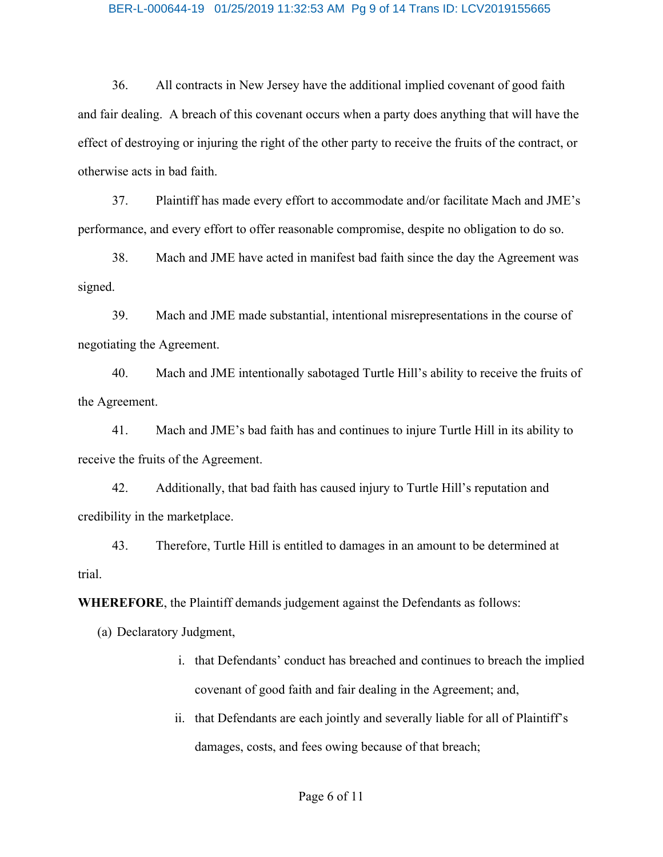#### BER-L-000644-19 01/25/2019 11:32:53 AM Pg 9 of 14 Trans ID: LCV2019155665

36. All contracts in New Jersey have the additional implied covenant of good faith and fair dealing. A breach of this covenant occurs when a party does anything that will have the effect of destroying or injuring the right of the other party to receive the fruits of the contract, or otherwise acts in bad faith.

37. Plaintiff has made every effort to accommodate and/or facilitate Mach and JME's performance, and every effort to offer reasonable compromise, despite no obligation to do so.

38. Mach and JME have acted in manifest bad faith since the day the Agreement was signed.

39. Mach and JME made substantial, intentional misrepresentations in the course of negotiating the Agreement.

40. Mach and JME intentionally sabotaged Turtle Hill's ability to receive the fruits of the Agreement.

41. Mach and JME's bad faith has and continues to injure Turtle Hill in its ability to receive the fruits of the Agreement.

42. Additionally, that bad faith has caused injury to Turtle Hill's reputation and credibility in the marketplace.

43. Therefore, Turtle Hill is entitled to damages in an amount to be determined at trial.

**WHEREFORE**, the Plaintiff demands judgement against the Defendants as follows:

(a) Declaratory Judgment,

- i. that Defendants' conduct has breached and continues to breach the implied covenant of good faith and fair dealing in the Agreement; and,
- ii. that Defendants are each jointly and severally liable for all of Plaintiff's damages, costs, and fees owing because of that breach;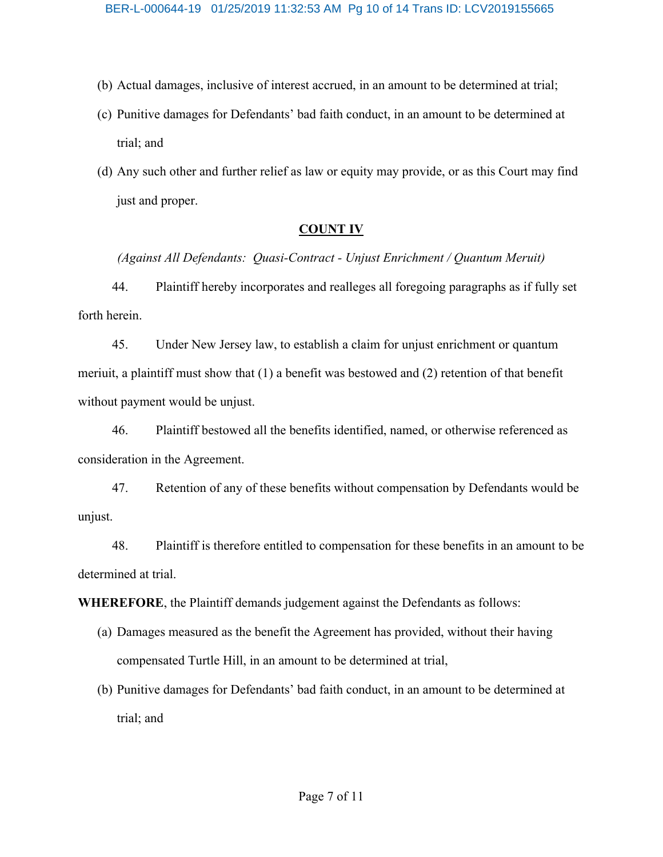- (b) Actual damages, inclusive of interest accrued, in an amount to be determined at trial;
- (c) Punitive damages for Defendants' bad faith conduct, in an amount to be determined at trial; and
- (d) Any such other and further relief as law or equity may provide, or as this Court may find just and proper.

### **COUNT IV**

*(Against All Defendants: Quasi-Contract - Unjust Enrichment / Quantum Meruit)*

44. Plaintiff hereby incorporates and realleges all foregoing paragraphs as if fully set forth herein.

45. Under New Jersey law, to establish a claim for unjust enrichment or quantum meriuit, a plaintiff must show that (1) a benefit was bestowed and (2) retention of that benefit without payment would be unjust.

46. Plaintiff bestowed all the benefits identified, named, or otherwise referenced as consideration in the Agreement.

47. Retention of any of these benefits without compensation by Defendants would be unjust.

48. Plaintiff is therefore entitled to compensation for these benefits in an amount to be determined at trial.

**WHEREFORE**, the Plaintiff demands judgement against the Defendants as follows:

- (a) Damages measured as the benefit the Agreement has provided, without their having compensated Turtle Hill, in an amount to be determined at trial,
- (b) Punitive damages for Defendants' bad faith conduct, in an amount to be determined at trial; and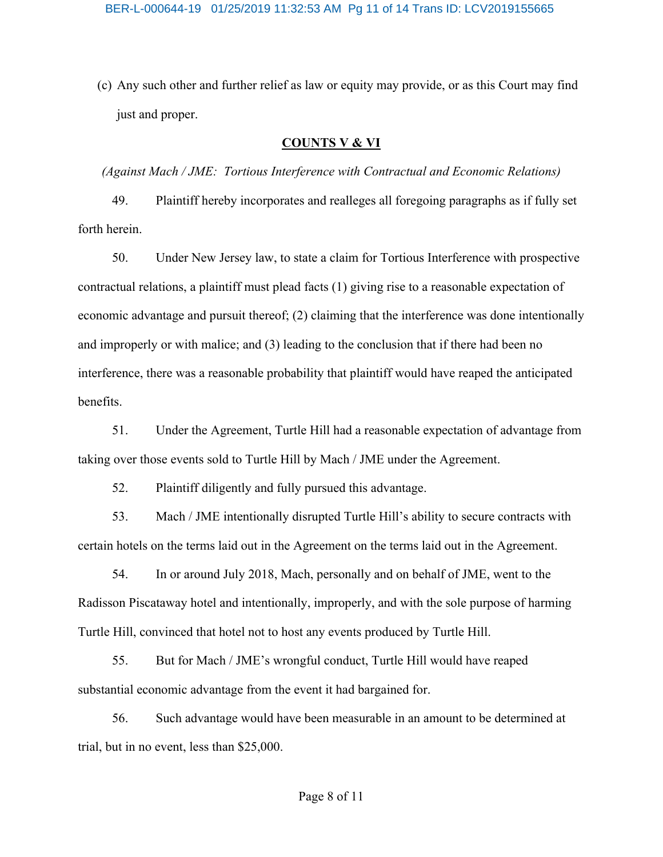(c) Any such other and further relief as law or equity may provide, or as this Court may find just and proper.

### **COUNTS V & VI**

*(Against Mach / JME: Tortious Interference with Contractual and Economic Relations)*

49. Plaintiff hereby incorporates and realleges all foregoing paragraphs as if fully set forth herein.

50. Under New Jersey law, to state a claim for Tortious Interference with prospective contractual relations, a plaintiff must plead facts (1) giving rise to a reasonable expectation of economic advantage and pursuit thereof; (2) claiming that the interference was done intentionally and improperly or with malice; and (3) leading to the conclusion that if there had been no interference, there was a reasonable probability that plaintiff would have reaped the anticipated benefits.

51. Under the Agreement, Turtle Hill had a reasonable expectation of advantage from taking over those events sold to Turtle Hill by Mach / JME under the Agreement.

52. Plaintiff diligently and fully pursued this advantage.

53. Mach / JME intentionally disrupted Turtle Hill's ability to secure contracts with certain hotels on the terms laid out in the Agreement on the terms laid out in the Agreement.

54. In or around July 2018, Mach, personally and on behalf of JME, went to the Radisson Piscataway hotel and intentionally, improperly, and with the sole purpose of harming Turtle Hill, convinced that hotel not to host any events produced by Turtle Hill.

55. But for Mach / JME's wrongful conduct, Turtle Hill would have reaped substantial economic advantage from the event it had bargained for.

56. Such advantage would have been measurable in an amount to be determined at trial, but in no event, less than \$25,000.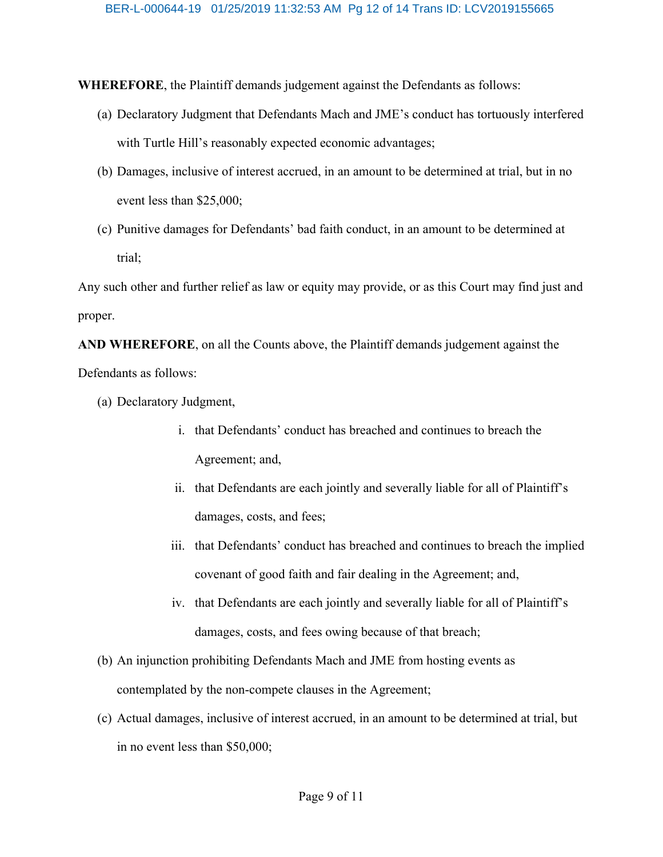**WHEREFORE**, the Plaintiff demands judgement against the Defendants as follows:

- (a) Declaratory Judgment that Defendants Mach and JME's conduct has tortuously interfered with Turtle Hill's reasonably expected economic advantages;
- (b) Damages, inclusive of interest accrued, in an amount to be determined at trial, but in no event less than \$25,000;
- (c) Punitive damages for Defendants' bad faith conduct, in an amount to be determined at trial;

Any such other and further relief as law or equity may provide, or as this Court may find just and proper.

**AND WHEREFORE**, on all the Counts above, the Plaintiff demands judgement against the Defendants as follows:

- (a) Declaratory Judgment,
	- i. that Defendants' conduct has breached and continues to breach the Agreement; and,
	- ii. that Defendants are each jointly and severally liable for all of Plaintiff's damages, costs, and fees;
	- iii. that Defendants' conduct has breached and continues to breach the implied covenant of good faith and fair dealing in the Agreement; and,
	- iv. that Defendants are each jointly and severally liable for all of Plaintiff's damages, costs, and fees owing because of that breach;
- (b) An injunction prohibiting Defendants Mach and JME from hosting events as contemplated by the non-compete clauses in the Agreement;
- (c) Actual damages, inclusive of interest accrued, in an amount to be determined at trial, but in no event less than \$50,000;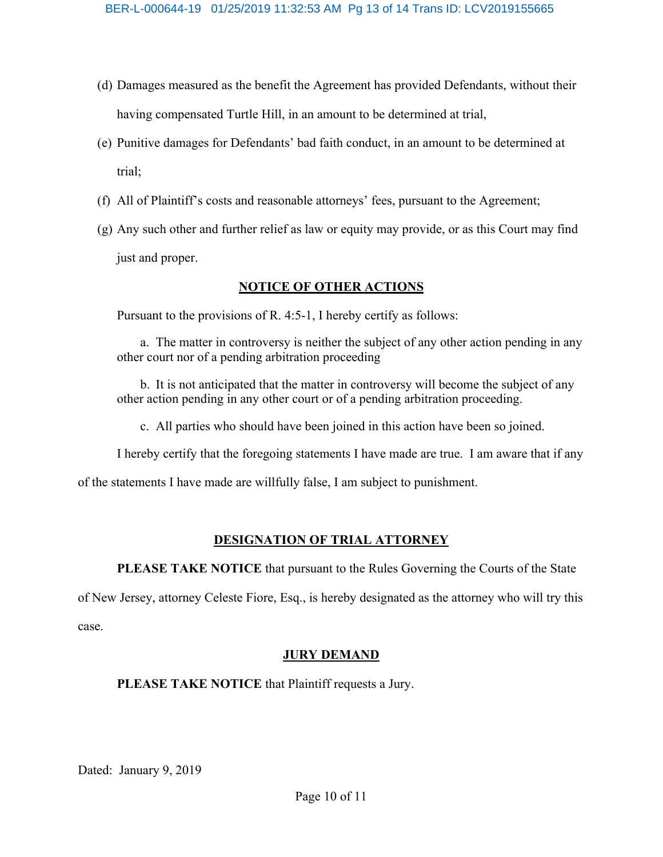- (d) Damages measured as the benefit the Agreement has provided Defendants, without their having compensated Turtle Hill, in an amount to be determined at trial,
- (e) Punitive damages for Defendants' bad faith conduct, in an amount to be determined at trial;
- (f) All of Plaintiff's costs and reasonable attorneys' fees, pursuant to the Agreement;
- (g) Any such other and further relief as law or equity may provide, or as this Court may find just and proper.

## **NOTICE OF OTHER ACTIONS**

Pursuant to the provisions of R. 4:5-1, I hereby certify as follows:

a. The matter in controversy is neither the subject of any other action pending in any other court nor of a pending arbitration proceeding

b. It is not anticipated that the matter in controversy will become the subject of any other action pending in any other court or of a pending arbitration proceeding.

c. All parties who should have been joined in this action have been so joined.

I hereby certify that the foregoing statements I have made are true. I am aware that if any

of the statements I have made are willfully false, I am subject to punishment.

# **DESIGNATION OF TRIAL ATTORNEY**

**PLEASE TAKE NOTICE** that pursuant to the Rules Governing the Courts of the State

of New Jersey, attorney Celeste Fiore, Esq., is hereby designated as the attorney who will try this

case.

### **JURY DEMAND**

**PLEASE TAKE NOTICE** that Plaintiff requests a Jury.

Dated: January 9, 2019